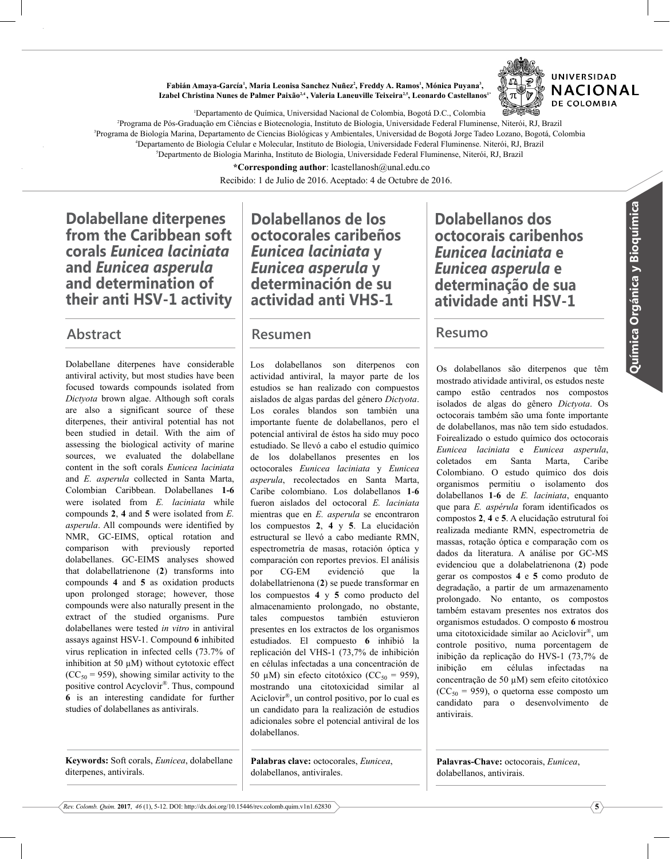Fabián Amaya-García<sup>1</sup>, Maria Leonisa Sanchez Nuñez<sup>2</sup>, Freddy A. Ramos<sup>1</sup>, Mónica Puyana<sup>3</sup>, Izabel Christina Nunes de Palmer Paixão<sup>2,4</sup>, Valeria Laneuville Teixeira<sup>2,5</sup>, Leonardo Castellanos<sup>1</sup>

'Departamento de Química, Universidad Nacional de Colombia, Bogotá D.C., Colombia

<sup>2</sup>Programa de Pós-Graduação em Ciências e Biotecnologia, Instituto de Biologia, Universidade Federal Fluminense, Niterói, RJ, Brazil <sup>3</sup>Programa de Biología Marina, Departamento de Ciencias Biológicas y Ambientales, Universidad de Bogotá Jorge Tadeo Lozano, Bogotá, Colombia <sup>4</sup>Departamento de Biologia Celular e Molecular, Instituto de Biologia, Universidade Federal Fluminense. Niterói, RJ, Brazil <sup>5</sup>Departmento de Biologia Marinha, Instituto de Biologia, Universidade Federal Fluminense, Niterói, RJ, Brazil

\*Corresponding author: lcastellanosh@unal.edu.co

Recibido: 1 de Julio de 2016. Aceptado: 4 de Octubre de 2016.

Dolabellane diterpenes from the Caribbean soft corals Eunicea laciniata and Eunicea asperula and determination of their anti HSV-1 activity

Dolabellane diterpenes have considerable antiviral activity, but most studies have been focused towards compounds isolated from *Dictyota* brown algae. Although soft corals are also a significant source of these diterpenes, their antiviral potential has not been studied in detail. With the aim of assessing the biological activity of marine sources, we evaluated the dolabellane content in the soft corals *Eunicea laciniata* and *E. asperula* collected in Santa Marta, Colombian Caribbean. Dolabellanes 1-6 were isolated from *E. laciniata* while compounds **K**y **:** and **0** were isolated from *E.* asperula. All compounds were identified by NMR, GC-EIMS, optical rotation and comparison with previously reported dolabellanes. GC-EIMS analyses showed that dolabellatrienone (2) transforms into compounds 4 and 5 as oxidation products upon prolonged storage; however, those compounds were also naturally present in the extract of the studied organisms. Pure dolabellanes were tested *in vitro* in antiviral assays against HSV-1. Compound 6 inhibited virus replication in infected cells (73.7% of inhibition at 50  $\mu$ M) without cytotoxic effect  $(CC<sub>50</sub> = 959)$ , showing similar activity to the positive control Acyclovir®. Thus, compound **7** is an interesting candidate for further studies of dolabellanes as antivirals.

Keywords: Soft corals, *Eunicea*, dolabellane diterpenes, antivirals.

Dolabellanos de los octocorales caribeños Eunicea laciniata y Eunicea asperula y determinación de su actividad anti VHS-1

#### Abstract Resumen Resumo Resumen

Los dolabellanos son diterpenos con actividad antiviral, la mayor parte de los estudios se han realizado con compuestos aislados de algas pardas del género *Dictyota*. Los corales blandos son también una importante fuente de dolabellanos, pero el potencial antiviral de éstos ha sido muy poco estudiado. Se llevó a cabo el estudio químico de los dolabellanos presentes en los octocorales *Eunicea laciniata* y *Eunicea* asperula, recolectados en Santa Marta, Caribe colombiano. Los dolabellanos 1-6 fueron aislados del octocoral *E. laciniata* mientras que en *E. asperula* se encontraron los compuestos 2, 4 y 5. La elucidación estructural se llevó a cabo mediante RMN, espectrometría de masas, rotación óptica y comparación con reportes previos. El análisis por CG-EM evidenció que la dolabellatrienona (2) se puede transformar en los compuestos 4 y 5 como producto del almacenamiento prolongado, no obstante, tales compuestos también estuvieron presentes en los extractos de los organismos estudiados. El compuesto 6 inhibió la replicación del VHS-1 (73,7% de inhibición en células infectadas a una concentración de 50 µM) sin efecto citotóxico (CC<sub>50</sub> = 959), mostrando una citotoxicidad similar al Aciclovir<sup>®</sup>, un control positivo, por lo cual es un candidato para la realización de estudios adicionales sobre el potencial antiviral de los dolabellanos.

Palabras clave: octocorales, *Eunicea*, dolabellanos, antivirales.

Dolabellanos dos octocorais caribenhos Eunicea laciniata e Eunicea asperula e determinação de sua atividade anti HSV-1

Os dolabellanos são diterpenos que têm mostrado atividade antiviral, os estudos neste campo estão centrados nos compostos isolados de algas do gênero *Dictyota*. Os octocorais também são uma fonte importante de dolabellanos, mas não tem sido estudados. ®oirealizado o estudo químico dos octocorais *Eunicea laciniata* e *Eunicea asperula*, coletados em Santa Marta. Caribe Colombiano. O estudo químico dos dois organismos permitiu o isolamento dos dolabellanos **1-6** de *E. laciniata*, enquanto que para *E. aspérula* foram identificados os compostos 2, 4 e 5. A elucidação estrutural foi realizada mediante RMN, espectrometria de massas, rotação óptica e comparação com os dados da literatura. A análise por GC-MS evidenciou que a dolabelatrienona (2) pode gerar os compostos 4 e 5 como produto de degradação, a partir de um armazenamento prolongado. No entanto, os compostos também estavam presentes nos extratos dos organismos estudados. O composto 6 mostrou uma citotoxicidade similar ao Aciclovir<sup>®</sup>, um controle positivo, numa porcentagem de inibição da replicação do HVS-1 (73,7% de inibição em células infectadas na concentração de 50 µM) sem efeito citotóxico  $(CC<sub>50</sub> = 959)$ , o quetorna esse composto um candidato para o desenvolvimento de antivirais

Palavras-Chave: octocorais, *Eunicea*, dolabellanos, antivirais.

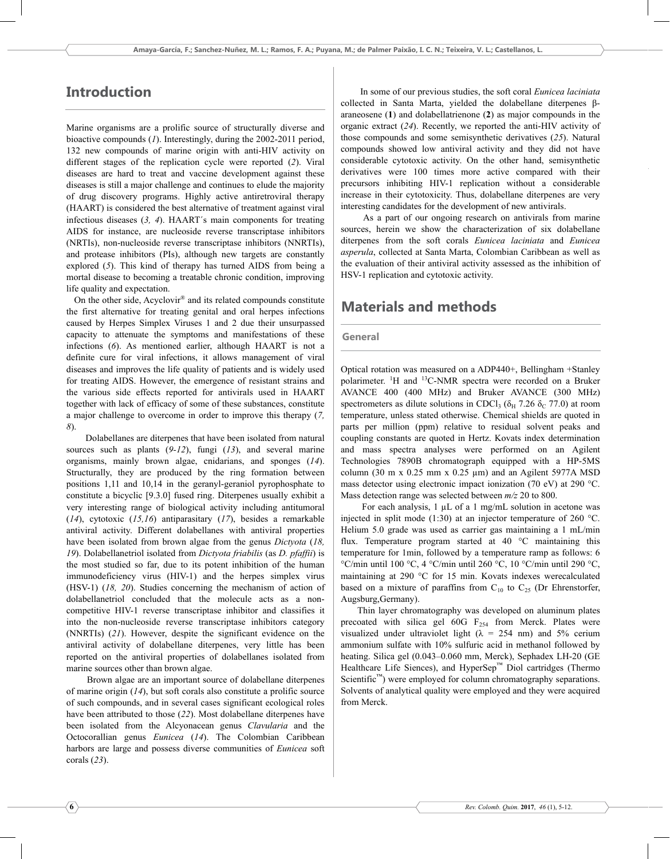# Introduction

Marine organisms are a prolific source of structurally diverse and bioactive compounds  $(1)$ . Interestingly, during the 2002-2011 period, 132 new compounds of marine origin with anti-HIV activity on different stages of the replication cycle were reported (2). Viral diseases are hard to treat and vaccine development against these diseases is still a major challenge and continues to elude the majority of drug discovery programs. Highly active antiretroviral therapy (HAART) is considered the best alternative of treatment against viral infectious diseases  $(3, 4)$ . HAART's main components for treating AIDS for instance, are nucleoside reverse transcriptase inhibitors (NRTIs), non-nucleoside reverse transcriptase inhibitors (NNRTIs), and protease inhibitors (PIs), although new targets are constantly explored (5). This kind of therapy has turned AIDS from being a mortal disease to becoming a treatable chronic condition, improving life quality and expectation.

On the other side, Acyclovir® and its related compounds constitute the first alternative for treating genital and oral herpes infections caused by Herpes Simplex Viruses 1 and 2 due their unsurpassed capacity to attenuate the symptoms and manifestations of these infections (6). As mentioned earlier, although HAART is not a definite cure for viral infections, it allows management of viral diseases and improves the life quality of patients and is widely used for treating AIDS. However, the emergence of resistant strains and the various side effects reported for antivirals used in HAART together with lack of efficacy of some of these substances, constitute a major challenge to overcome in order to improve this therapy  $(7, 7)$  $8$ 

Dolabellanes are diterpenes that have been isolated from natural sources such as plants  $(9-12)$ , fungi  $(13)$ , and several marine organisms, mainly brown algae, cnidarians, and sponges  $(14)$ . Structurally, they are produced by the ring formation between positions  $1,11$  and  $10,14$  in the geranyl-geraniol pyrophosphate to constitute a bicyclic  $[9.3.0]$  fused ring. Diterpenes usually exhibit a very interesting range of biological activity including antitumoral  $(14)$ , cytotoxic  $(15,16)$  antiparasitary  $(17)$ , besides a remarkable antiviral activity. Different dolabellanes with antiviral properties have been isolated from brown algae from the genus *Dictyota* (18, *19*). Dolabellanetriol isolated from *Dictyota friabilis* (as *D. pfaffii*) is the most studied so far, due to its potent inhibition of the human immunodeficiency virus (HIV-1) and the herpes simplex virus (HSV-1) (18, 20). Studies concerning the mechanism of action of dolabellanetriol concluded that the molecule acts as a noncompetitive HIV-1 reverse transcriptase inhibitor and classifies it into the non-nucleoside reverse transcriptase inhibitors category (NNRTIs)  $(21)$ . However, despite the significant evidence on the antiviral activity of dolabellane diterpenes, very little has been reported on the antiviral properties of dolabellanes isolated from marine sources other than brown algae.

Brown algae are an important source of dolabellane diterpenes of marine origin  $(14)$ , but soft corals also constitute a prolific source of such compounds, and in several cases significant ecological roles have been attributed to those (22). Most dolabellane diterpenes have been isolated from the Alcyonacean genus *Clavularia* and the Octocorallian genus *Eunicea* (14). The Colombian Caribbean harbors are large and possess diverse communities of *Eunicea* soft corals (23).

In some of our previous studies, the soft coral *Eunicea laciniata* collected in Santa Marta, yielded the dolabellane diterpenes βaraneosene  $(1)$  and dolabellatrienone  $(2)$  as major compounds in the organic extract  $(24)$ . Recently, we reported the anti-HIV activity of those compounds and some semisynthetic derivatives (25). Natural compounds showed low antiviral activity and they did not have considerable cytotoxic activity. On the other hand, semisynthetic derivatives were 100 times more active compared with their precursors inhibiting HIV-1 replication without a considerable increase in their cytotoxicity. Thus, dolabellane diterpenes are very interesting candidates for the development of new antivirals.

As a part of our ongoing research on antivirals from marine sources, herein we show the characterization of six dolabellane diterpenes from the soft corals *Eunicea laciniata* and *Eunicea asperula*, collected at Santa Marta, Colombian Caribbean as well as the evaluation of their antiviral activity assessed as the inhibition of HSV-1 replication and cytotoxic activity.

## Materials and methods

#### General

Optical rotation was measured on a ADP440+, Bellingham +Stanley polarimeter. <sup>1</sup>H and <sup>13</sup>C-NMR spectra were recorded on a Bruker AVANCE 400 (400 MHz) and Bruker AVANCE (300 MHz) spectrometers as dilute solutions in CDCl<sub>3</sub> ( $\delta_{\text{H}}$  7.26  $\delta_{\text{C}}$  77.0) at room temperature, unless stated otherwise. Chemical shields are quoted in parts per million (ppm) relative to residual solvent peaks and coupling constants are quoted in Hertz. Kovats index determination and mass spectra analyses were performed on an Agilent Technologies 7890B chromatograph equipped with a HP-5MS column (30 m x 0.25 mm x 0.25 µm) and an Agilent  $5977A$  MSD mass detector using electronic impact ionization (70 eV) at 290 °C. Mass detection range was selected between  $m/z$  20 to 800.

For each analysis,  $1 \mu L$  of a 1 mg/mL solution in acetone was injected in split mode (1:30) at an injector temperature of 260 °C. Helium 5.0 grade was used as carrier gas maintaining a 1 mL/min flux. Temperature program started at  $40^{\circ}$ C maintaining this temperature for 1min, followed by a temperature ramp as follows: 6 °C/min until 100 °C, 4 °C/min until 260 °C, 10 °C/min until 290 °C, maintaining at  $290 °C$  for 15 min. Kovats indexes were calculated based on a mixture of paraffins from  $C_{10}$  to  $C_{25}$  (Dr Ehrenstorfer, Augsburg, Germany).

Thin layer chromatography was developed on aluminum plates precoated with silica gel 60G  $F_{254}$  from Merck. Plates were visualized under ultraviolet light  $(\lambda = 254 \text{ nm})$  and  $5\%$  cerium ammonium sulfate with 10% sulfuric acid in methanol followed by heating. Silica gel (0.043–0.060 mm, Merck), Sephadex LH-20 (GE Healthcare Life Siences), and HyperSep™ Diol cartridges (Thermo Scientific<sup>™</sup>) were employed for column chromatography separations. Solvents of analytical quality were employed and they were acquired from Merck.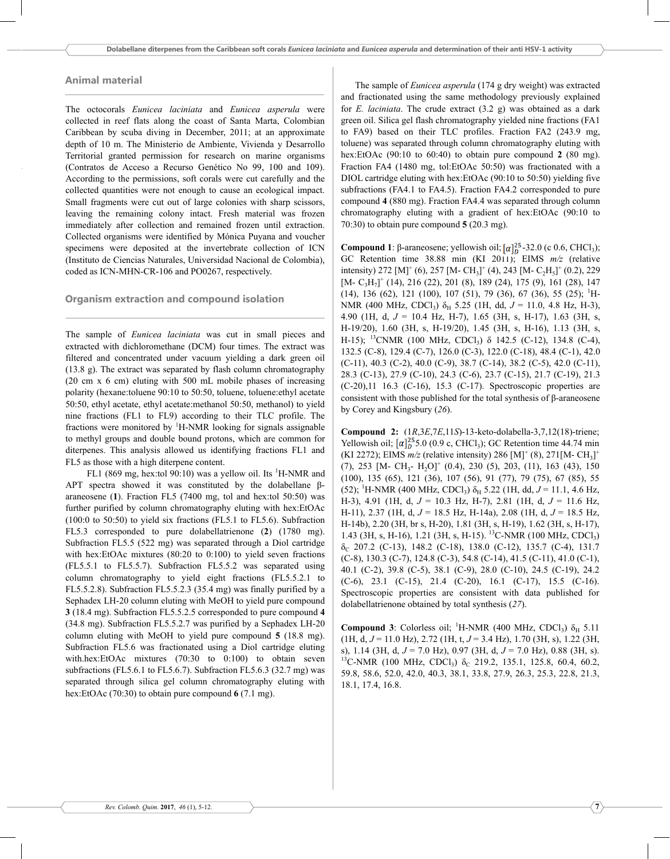### Animal material

The octocorals *Eunicea laciniata* and *Eunicea asperula* were collected in reef flats along the coast of Santa Marta, Colombian Caribbean by scuba diving in December,  $2011$ ; at an approximate depth of 10 m. The Ministerio de Ambiente, Vivienda y Desarrollo Territorial granted permission for research on marine organisms (Contratos de Acceso a Recurso Genético No 99, 100 and 109). According to the permissions, soft corals were cut carefully and the collected quantities were not enough to cause an ecological impact. Small fragments were cut out of large colonies with sharp scissors, leaving the remaining colony intact. Fresh material was frozen immediately after collection and remained frozen until extraction. Collected organisms were identified by Mónica Puyana and voucher specimens were deposited at the invertebrate collection of ICN (Instituto de Ciencias Naturales, Universidad Nacional de Colombia), coded as ICN-MHN-CR-106 and PO0267, respectively.

### Organism extraction and compound isolation

The sample of *Eunicea laciniata* was cut in small pieces and extracted with dichloromethane (DCM) four times. The extract was filtered and concentrated under vacuum yielding a dark green oil  $(13.8 \text{ g})$ . The extract was separated by flash column chromatography  $(20 \text{ cm } x \text{ 6 cm})$  eluting with 500 mL mobile phases of increasing polarity (hexane:toluene 90:10 to 50:50, toluene, toluene:ethyl acetate 50:50, ethyl acetate, ethyl acetate:methanol 50:50, methanol) to yield nine fractions (FL1 to FL9) according to their TLC profile. The fractions were monitored by  ${}^{1}$ H-NMR looking for signals assignable to methyl groups and double bound protons, which are common for diterpenes. This analysis allowed us identifying fractions FL1 and FL5 as those with a high diterpene content.

FL1 (869 mg, hex:tol 90:10) was a yellow oil. Its <sup>1</sup>H-NMR and APT spectra showed it was constituted by the dolabellane βaraneosene  $(1)$ . Fraction FL5  $(7400 \text{ mg}, \text{tol and hex:tol } 50:50)$  was further purified by column chromatography eluting with hex:EtOAc  $(100:0$  to 50:50) to yield six fractions (FL5.1 to FL5.6). Subfraction FL5.3 corresponded to pure dolabellatrienone (2) (1780 mg). Subfraction FL5.5 (522 mg) was separated through a Diol cartridge with hex:EtOAc mixtures  $(80:20 \text{ to } 0:100)$  to yield seven fractions  $(FL5.5.1$  to  $FL5.5.7$ ). Subfraction  $FL5.5.2$  was separated using column chromatography to yield eight fractions (FL5.5.2.1 to FL5.5.2.8). Subfraction FL5.5.2.3 (35.4 mg) was finally purified by a Sephadex LH-20 column eluting with MeOH to yield pure compound **3** (18.4 mg). Subfraction FL5.5.2.5 corresponded to pure compound **4**  $(34.8 \text{ mg})$ . Subfraction FL5.5.2.7 was purified by a Sephadex LH-20 column eluting with MeOH to yield pure compound  $5(18.8 \text{ mg})$ . Subfraction FL5.6 was fractionated using a Diol cartridge eluting with hex: EtOAc mixtures  $(70:30$  to  $0:100$  to obtain seven subfractions (FL5.6.1 to FL5.6.7). Subfraction FL5.6.3 (32.7 mg) was separated through silica gel column chromatography eluting with hex:EtOAc  $(70:30)$  to obtain pure compound  $6(7.1 \text{ mg})$ .

The sample of *Eunicea asperula* (174 g dry weight) was extracted and fractionated using the same methodology previously explained for *E. laciniata*. The crude extract  $(3.2 \text{ g})$  was obtained as a dark green oil. Silica gel flash chromatography yielded nine fractions (FA1) to FA9) based on their TLC profiles. Fraction FA2 (243.9 mg, toluene) was separated through column chromatography eluting with hex:EtOAc  $(90:10 \text{ to } 60:40)$  to obtain pure compound **2**  $(80 \text{ mg})$ . Fraction FA4 (1480 mg, tol:EtOAc 50:50) was fractionated with a DIOL cartridge eluting with hex: EtOAc  $(90:10$  to  $50:50)$  yielding five subfractions (FA4.1 to FA4.5). Fraction FA4.2 corresponded to pure compound 4 (880 mg). Fraction FA4.4 was separated through column chromatography eluting with a gradient of hex:EtOAc  $(90:10)$  to 70:30) to obtain pure compound  $5(20.3 \text{ mg})$ .

**Compound 1**: β-araneosene; yellowish oil;  $\alpha \binom{25}{2}$ -32.0 (c 0.6, CHCl<sub>3</sub>); GC Retention time 38.88 min (KI 2011); EIMS  $m/z$  (relative intensity) 272 [M]<sup>+</sup> (6), 257 [M- CH<sub>3</sub>]<sup>+</sup> (4), 243 [M- C<sub>2</sub>H<sub>5</sub>]<sup>+</sup> (0.2), 229  $[M - C<sub>3</sub>H<sub>7</sub>]$ <sup>+</sup> (14), 216 (22), 201 (8), 189 (24), 175 (9), 161 (28), 147  $(14)$ , 136 (62), 121 (100), 107 (51), 79 (36), 67 (36), 55 (25); <sup>1</sup>H-NMR (400 MHz, CDCl<sub>3</sub>)  $\delta_H$  5.25 (1H, dd,  $J = 11.0$ , 4.8 Hz, H-3), 4.90 (1H, d,  $J = 10.4$  Hz, H-7), 1.65 (3H, s, H-17), 1.63 (3H, s, H-19/20), 1.60 (3H, s, H-19/20), 1.45 (3H, s, H-16), 1.13 (3H, s, H-15); <sup>13</sup>CNMR (100 MHz, CDCl<sub>3</sub>)  $\delta$  142.5 (C-12), 134.8 (C-4), 132.5 (C-8), 129.4 (C-7), 126.0 (C-3), 122.0 (C-18), 48.4 (C-1), 42.0  $(C-11)$ , 40.3  $(C-2)$ , 40.0  $(C-9)$ , 38.7  $(C-14)$ , 38.2  $(C-5)$ , 42.0  $(C-11)$ , 28.3 (C-13), 27.9 (C-10), 24.3 (C-6), 23.7 (C-15), 21.7 (C-19), 21.3  $(C-20)$ , 11 16.3  $(C-16)$ , 15.3  $(C-17)$ . Spectroscopic properties are consistent with those published for the total synthesis of  $\beta$ -araneosene by Corey and Kingsbury (26).

**Compound 2:**  $(1R, 3E, 7E, 11S)$ -13-keto-dolabella-3,7,12(18)-triene; Yellowish oil;  $\left[\alpha\right]_0^{25}$  5.0 (0.9 c, CHCl<sub>3</sub>); GC Retention time 44.74 min (KI 2272); EIMS  $m/z$  (relative intensity) 286 [M]<sup>+</sup> (8), 271 [M-CH<sub>3</sub>]<sup>+</sup>  $(7)$ , 253 [M- CH<sub>3</sub>- H<sub>2</sub>O]<sup>+</sup>  $(0.4)$ , 230 (5), 203, (11), 163 (43), 150 (100), 135 (65), 121 (36), 107 (56), 91 (77), 79 (75), 67 (85), 55 (52); <sup>1</sup>H-NMR (400 MHz, CDCl<sub>3</sub>)  $\delta_H$  5.22 (1H, dd, J = 11.1, 4.6 Hz, H-3), 4.91 (1H, d,  $J = 10.3$  Hz, H-7), 2.81 (1H, d,  $J = 11.6$  Hz, H-11), 2.37 (1H, d,  $J = 18.5$  Hz, H-14a), 2.08 (1H, d,  $J = 18.5$  Hz, H-14b), 2.20 (3H, br s, H-20), 1.81 (3H, s, H-19), 1.62 (3H, s, H-17), 1.43 (3H, s, H-16), 1.21 (3H, s, H-15). <sup>13</sup>C-NMR (100 MHz, CDCl<sub>3</sub>)  $\delta_C$  207.2 (C-13), 148.2 (C-18), 138.0 (C-12), 135.7 (C-4), 131.7  $(C-8)$ , 130.3  $(C-7)$ , 124.8  $(C-3)$ , 54.8  $(C-14)$ , 41.5  $(C-11)$ , 41.0  $(C-1)$ , 40.1 (C-2), 39.8 (C-5), 38.1 (C-9), 28.0 (C-10), 24.5 (C-19), 24.2  $(C-6)$ , 23.1  $(C-15)$ , 21.4  $(C-20)$ , 16.1  $(C-17)$ , 15.5  $(C-16)$ . Spectroscopic properties are consistent with data published for dolabellatrienone obtained by total synthesis (27).

**Compound 3**: Colorless oil; <sup>1</sup>H-NMR (400 MHz, CDCl<sub>3</sub>)  $\delta_H$  5.11  $(H, d, J = 11.0 \text{ Hz})$ , 2.72  $(H, t, J = 3.4 \text{ Hz})$ , 1.70  $(H, s)$ , 1.22  $(H, s)$ s), 1.14 (3H, d,  $J = 7.0$  Hz), 0.97 (3H, d,  $J = 7.0$  Hz), 0.88 (3H, s). <sup>13</sup>C-NMR (100 MHz, CDCl<sub>3</sub>) δ<sub>C</sub> 219.2, 135.1, 125.8, 60.4, 60.2, 59.8, 58.6, 52.0, 42.0, 40.3, 38.1, 33.8, 27.9, 26.3, 25.3, 22.8, 21.3, 18.1, 17.4, 16.8.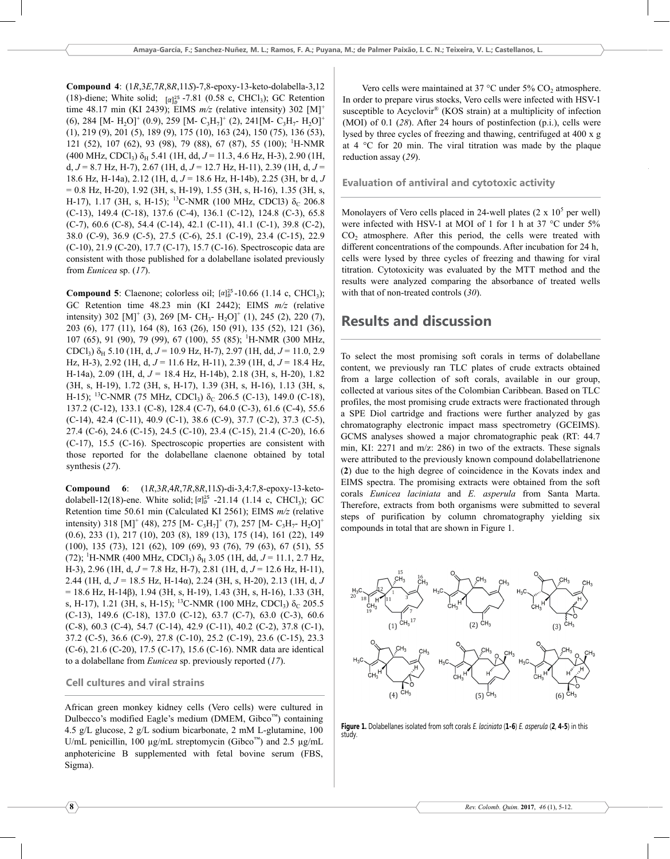**Compound 4:**  $(1R, 3E, 7R, 8R, 11S) - 7, 8$ -epoxy-13-keto-dolabella-3,12 (18)-diene; White solid;  $\left[\alpha\right]_b^{25}$  -7.81 (0.58 c, CHCl<sub>3</sub>); GC Retention time 48.17 min (KI 2439); EIMS  $m/z$  (relative intensity) 302 [M]<sup>+</sup> (6), 284 [M- H<sub>2</sub>O]<sup>+</sup> (0.9), 259 [M- C<sub>3</sub>H<sub>7</sub>]<sup>+</sup> (2), 241[M- C<sub>3</sub>H<sub>7</sub>- H<sub>2</sub>O]<sup>+</sup>  $(1), 219 (9), 201 (5), 189 (9), 175 (10), 163 (24), 150 (75), 136 (53),$ 121 (52), 107 (62), 93 (98), 79 (88), 67 (87), 55 (100); <sup>1</sup>H-NMR  $(400 \text{ MHz}, \text{CDCl}_3) \delta_H$  5.41 (1H, dd, J = 11.3, 4.6 Hz, H-3), 2.90 (1H, d,  $J = 8.7$  Hz, H-7), 2.67 (1H, d,  $J = 12.7$  Hz, H-11), 2.39 (1H, d,  $J =$ 18.6 Hz, H-14a), 2.12 (1H, d,  $J = 18.6$  Hz, H-14b), 2.25 (3H, br d, J  $= 0.8$  Hz, H-20), 1.92 (3H, s, H-19), 1.55 (3H, s, H-16), 1.35 (3H, s, H-17), 1.17 (3H, s, H-15); <sup>13</sup>C-NMR (100 MHz, CDCl3)  $\delta_c$  206.8 (C-13), 149.4 (C-18), 137.6 (C-4), 136.1 (C-12), 124.8 (C-3), 65.8 (C-7), 60.6 (C-8), 54.4 (C-14), 42.1 (C-11), 41.1 (C-1), 39.8 (C-2), 38.0 (C-9), 36.9 (C-5), 27.5 (C-6), 25.1 (C-19), 23.4 (C-15), 22.9 (C-10), 21.9 (C-20), 17.7 (C-17), 15.7 (C-16). Spectroscopic data are consistent with those published for a dolabellane isolated previously from Eunicea sp. (17).

**Compound 5**: Claenone; colorless oil;  $[\alpha]_D^{25}$ -10.66 (1.14 c, CHCl<sub>3</sub>); GC Retention time 48.23 min (KI 2442); EIMS  $m/z$  (relative intensity) 302 [M]<sup>+</sup> (3), 269 [M- CH<sub>3</sub>- H<sub>2</sub>O]<sup>+</sup> (1), 245 (2), 220 (7), 203 (6), 177 (11), 164 (8), 163 (26), 150 (91), 135 (52), 121 (36), 107 (65), 91 (90), 79 (99), 67 (100), 55 (85); <sup>1</sup>H-NMR (300 MHz,  $CDCl<sub>3</sub>$ )  $\delta_H$  5.10 (1H, d, J = 10.9 Hz, H-7), 2.97 (1H, dd, J = 11.0, 2.9 Hz, H-3), 2.92 (1H, d,  $J = 11.6$  Hz, H-11), 2.39 (1H, d,  $J = 18.4$  Hz, H-14a), 2.09 (1H, d,  $J = 18.4$  Hz, H-14b), 2.18 (3H, s, H-20), 1.82 (3H, s, H-19), 1.72 (3H, s, H-17), 1.39 (3H, s, H-16), 1.13 (3H, s, H-15); <sup>13</sup>C-NMR (75 MHz, CDCl<sub>3</sub>)  $\delta_c$  206.5 (C-13), 149.0 (C-18), 137.2 (C-12), 133.1 (C-8), 128.4 (C-7), 64.0 (C-3), 61.6 (C-4), 55.6 (C-14), 42.4 (C-11), 40.9 (C-1), 38.6 (C-9), 37.7 (C-2), 37.3 (C-5), 27.4 (C-6), 24.6 (C-15), 24.5 (C-10), 23.4 (C-15), 21.4 (C-20), 16.6 (C-17), 15.5 (C-16). Spectroscopic properties are consistent with those reported for the dolabellane claenone obtained by total synthesis  $(27)$ .

Compound 6: (1R,3R,4R,7R,8R,11S)-di-3,4:7,8-epoxy-13-ketodolabell-12(18)-ene. White solid;  $[\alpha]_D^{25}$  -21.14 (1.14 c, CHCl<sub>3</sub>); GC Retention time 50.61 min (Calculated KI 2561); EIMS  $m/z$  (relative intensity) 318 [M]<sup>+</sup> (48), 275 [M- C<sub>3</sub>H<sub>7</sub>]<sup>+</sup> (7), 257 [M- C<sub>3</sub>H<sub>7</sub>- H<sub>2</sub>O]<sup>+</sup>  $(0.6)$ , 233 (1), 217 (10), 203 (8), 189 (13), 175 (14), 161 (22), 149  $(100)$ , 135  $(73)$ , 121  $(62)$ , 109  $(69)$ , 93  $(76)$ , 79  $(63)$ , 67  $(51)$ , 55 (72); <sup>1</sup>H-NMR (400 MHz, CDCl<sub>3</sub>)  $\delta_H$  3.05 (1H, dd, J = 11.1, 2.7 Hz, H-3), 2.96 (1H, d,  $J = 7.8$  Hz, H-7), 2.81 (1H, d,  $J = 12.6$  Hz, H-11), 2.44 (1H, d,  $J = 18.5$  Hz, H-14a), 2.24 (3H, s, H-20), 2.13 (1H, d, J  $= 18.6$  Hz, H-14 $\beta$ ), 1.94 (3H, s, H-19), 1.43 (3H, s, H-16), 1.33 (3H, s, H-17), 1.21 (3H, s, H-15); <sup>13</sup>C-NMR (100 MHz, CDCl<sub>3</sub>)  $\delta_c$  205.5 (C-13), 149.6 (C-18), 137.0 (C-12), 63.7 (C-7), 63.0 (C-3), 60.6  $(C-8)$ , 60.3  $(C-4)$ , 54.7  $(C-14)$ , 42.9  $(C-11)$ , 40.2  $(C-2)$ , 37.8  $(C-1)$ , 37.2 (C-5), 36.6 (C-9), 27.8 (C-10), 25.2 (C-19), 23.6 (C-15), 23.3 (C-6), 21.6 (C-20), 17.5 (C-17), 15.6 (C-16). NMR data are identical to a dolabellane from *Eunicea* sp. previously reported  $(17)$ .

### **Cell cultures and viral strains**

African green monkey kidney cells (Vero cells) were cultured in Dulbecco's modified Eagle's medium (DMEM,  $\text{Gibco}^{\text{m}}$ ) containing 4.5 g/L glucose, 2 g/L sodium bicarbonate, 2 mM L-glutamine, 100 U/mL penicillin, 100  $\mu$ g/mL streptomycin (Gibco<sup>TM</sup>) and 2.5  $\mu$ g/mL anphotericine B supplemented with fetal bovine serum (FBS, Sigma).

Vero cells were maintained at 37 °C under 5% CO<sub>2</sub> atmosphere. In order to prepare virus stocks, Vero cells were infected with HSV-1 susceptible to Acyclovir<sup>®</sup> (KOS strain) at a multiplicity of infection (MOI) of 0.1  $(28)$ . After 24 hours of postinfection  $(p.i.)$ , cells were lysed by three cycles of freezing and thawing, centrifuged at 400 x g at  $4 \degree$ C for 20 min. The viral titration was made by the plaque reduction assay (29).

**Evaluation of antiviral and cytotoxic activity** 

Monolayers of Vero cells placed in 24-well plates  $(2 \times 10^5 \text{ per well})$ were infected with HSV-1 at MOI of 1 for 1 h at 37 °C under 5%  $CO<sub>2</sub>$  atmosphere. After this period, the cells were treated with different concentrations of the compounds. After incubation for 24 h, cells were lysed by three cycles of freezing and thawing for viral titration. Cytotoxicity was evaluated by the MTT method and the results were analyzed comparing the absorbance of treated wells with that of non-treated controls  $(30)$ .

## **Results and discussion**

To select the most promising soft corals in terms of dolabellane content, we previously ran TLC plates of crude extracts obtained from a large collection of soft corals, available in our group, collected at various sites of the Colombian Caribbean. Based on TLC profiles, the most promising crude extracts were fractionated through a SPE Diol cartridge and fractions were further analyzed by gas chromatography electronic impact mass spectrometry (GCEIMS). GCMS analyses showed a major chromatographic peak (RT: 44.7) min, KI: 2271 and m/z: 286) in two of the extracts. These signals were attributed to the previously known compound dolabellatrienone (2) due to the high degree of coincidence in the Kovats index and EIMS spectra. The promising extracts were obtained from the soft corals Eunicea laciniata and E. asperula from Santa Marta. Therefore, extracts from both organisms were submitted to several steps of purification by column chromatography yielding six compounds in total that are shown in Figure 1.



Figure 1. Dolabellanes isolated from soft corals E. laciniata (1-6) E. asperula (2, 4-5) in this study.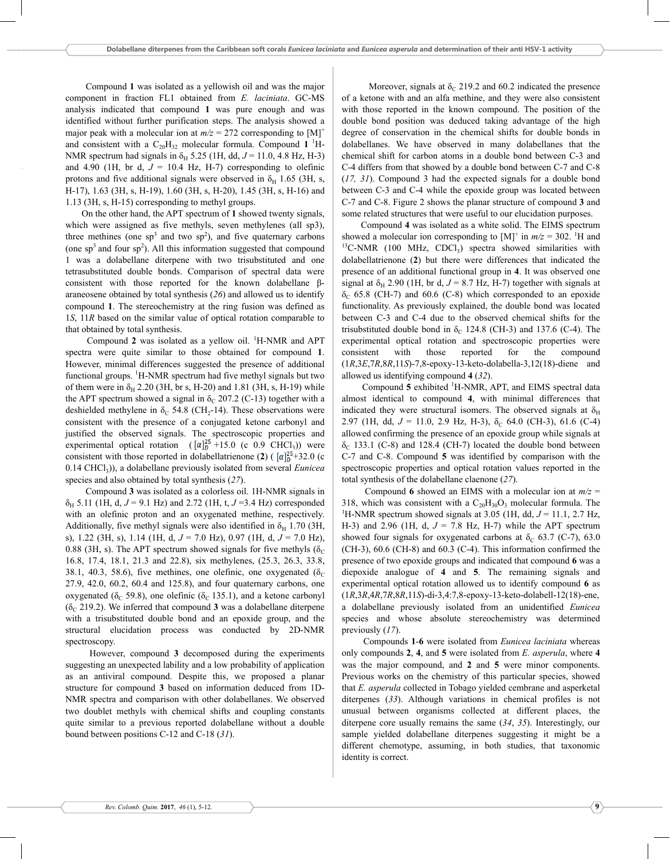Compound **1** was isolated as a yellowish oil and was the major component in fraction FL1 obtained from *E. laciniata*, GC-MS analysis indicated that compound **1** was pure enough and was identified without further purification steps, The analysis showed a major peak with a molecular ion at  $m/z = 272$  corresponding to [M]<sup>+</sup> and consistent with a  $C_{20}H_{32}$  molecular formula. Compound 1<sup>1</sup>H-NMR spectrum had signals in  $\delta_H$  5.25 (1H, dd,  $J = 11.0$ , 4.8 Hz, H-3) and 4.90 (1H, br d,  $J = 10.4$  Hz, H-7) corresponding to olefinic protons and five additional signals were observed in  $\delta_H$  1.65 (3H, s, H-17), 1.63 (3H, s, H-19), 1.60 (3H, s, H-20), 1.45 (3H, s, H-16) and  $1.13$  (3H, s, H-15) corresponding to methyl groups.

On the other hand, the APT spectrum of 1 showed twenty signals, which were assigned as five methyls, seven methylenes (all sp3), three methines (one sp<sup>3</sup> and two sp<sup>2</sup>), and five quaternary carbons (one  $sp<sup>3</sup>$  and four  $sp<sup>2</sup>$ ). All this information suggested that compound 1 was a dolabellane diterpene with two trisubstituted and one tetrasubstituted double bonds, Comparison of spectral data were consistent with those reported for the known dolabellane  $\beta$ araneosene obtained by total synthesis (26) and allowed us to identify compound **1**, The stereochemistry at the ring fusion was defined as 1*S*, 11*R* based on the similar value of optical rotation comparable to that obtained by total synthesis,

Compound  $2$  was isolated as a yellow oil. <sup>1</sup>H-NMR and APT spectra were quite similar to those obtained for compound **1**, However, minimal differences suggested the presence of additional functional groups.  ${}^{1}$ H-NMR spectrum had five methyl signals but two of them were in  $\delta_{\rm H}$  2.20 (3H, br s, H-20) and 1.81 (3H, s, H-19) while the APT spectrum showed a signal in  $\delta_C$  207.2 (C-13) together with a deshielded methylene in  $\delta_c$  54.8 (CH<sub>2</sub>-14). These observations were consistent with the presence of a conjugated ketone carbonyl and justified the observed signals, The spectroscopic properties and experimental optical rotation  $([a]_D^{25} + 15.0$  (c 0.9 CHCl<sub>3</sub>)) were consistent with those reported in dolabellatrienone (2) ( $\left[\alpha\right]_D^{25}$ +32.0 (c 0.14 CHCl<sub>3</sub>)), a dolabellane previously isolated from several *Eunicea* species and also obtained by total synthesis (27).

Compound 3 was isolated as a colorless oil, 1H-NMR signals in  $\delta_H$  5.11 (1H, d,  $J = 9.1$  Hz) and 2.72 (1H, t,  $J = 3.4$  Hz) corresponded with an olefinic proton and an oxygenated methine, respectively, Additionally, five methyl signals were also identified in  $\delta_H$  1.70 (3H, s), 1.22 (3H, s), 1.14 (1H, d,  $J = 7.0$  Hz), 0.97 (1H, d,  $J = 7.0$  Hz), 0.88 (3H, s). The APT spectrum showed signals for five methyls ( $\delta_c$ 16.8, 17.4, 18.1, 21.3 and 22.8), six methylenes, (25.3, 26.3, 33.8, 38.1, 40.3, 58.6), five methines, one olefinic, one oxygenated  $(\delta_c)$  $27.9$ , 42.0, 60.2, 60.4 and 125.8), and four quaternary carbons, one oxygenated ( $\delta_c$  59.8), one olefinic ( $\delta_c$  135.1), and a ketone carbonyl  $(\delta_c 219.2)$ . We inferred that compound **3** was a dolabellane diterpene with a trisubstituted double bond and an epoxide group, and the structural elucidation process was conducted by 2D-NMR spectroscopy,

However, compound **3** decomposed during the experiments suggesting an unexpected lability and a low probability of application as an antiviral compound. Despite this, we proposed a planar structure for compound 3 based on information deduced from 1D-NMR spectra and comparison with other dolabellanes, We observed two doublet methyls with chemical shifts and coupling constants quite similar to a previous reported dolabellane without a double bound between positions C-12 and C-18 (31).

Moreover, signals at  $\delta_c$  219.2 and 60.2 indicated the presence of a ketone with and an alfa methine, and they were also consistent with those reported in the known compound, The position of the double bond position was deduced taking advantage of the high degree of conservation in the chemical shifts for double bonds in dolabellanes, We have observed in many dolabellanes that the chemical shift for carbon atoms in a double bond between C-3 and C-4 differs from that showed by a double bond between C-7 and C-8  $(17, 31)$ . Compound 3 had the expected signals for a double bond between C-3 and C-4 while the epoxide group was located between C-7 and C-8. Figure 2 shows the planar structure of compound 3 and some related structures that were useful to our elucidation purposes,

Compound **4** was isolated as a white solid, The EIMS spectrum showed a molecular ion corresponding to  $[M]^+$  in  $m/z = 302$ . <sup>1</sup>H and  $^{13}$ C-NMR (100 MHz, CDCl<sub>3</sub>) spectra showed similarities with dolabellatrienone (2) but there were differences that indicated the presence of an additional functional group in **4**, It was observed one signal at  $\delta_H$  2.90 (1H, br d,  $J = 8.7$  Hz, H-7) together with signals at  $\delta_C$  65.8 (CH-7) and 60.6 (C-8) which corresponded to an epoxide functionality. As previously explained, the double bond was located between C-3 and C-4 due to the observed chemical shifts for the trisubstituted double bond in  $\delta_c$  124.8 (CH-3) and 137.6 (C-4). The experimental optical rotation and spectroscopic properties were consistent with those reported for the compound  $(1R,3E,7R,8R,11S)$ -7,8-epoxy-13-keto-dolabella-3,12(18)-diene and allowed us identifying compound  $4(32)$ ,

Compound 5 exhibited <sup>1</sup>H-NMR, APT, and EIMS spectral data almost identical to compound 4, with minimal differences that indicated they were structural isomers. The observed signals at  $\delta_{\rm H}$ 2.97 (1H, dd,  $J = 11.0$ , 2.9 Hz, H-3),  $\delta_C$  64.0 (CH-3), 61.6 (C-4) allowed confirming the presence of an epoxide group while signals at  $\delta$ <sub>C</sub> 133.1 (C-8) and 128.4 (CH-7) located the double bond between C-7 and C-8. Compound **5** was identified by comparison with the spectroscopic properties and optical rotation values reported in the total synthesis of the dolabellane claenone (27).

Compound 6 showed an EIMS with a molecular ion at  $m/z =$ 318, which was consistent with a  $C_{20}H_{30}O_3$  molecular formula. The <sup>1</sup>H-NMR spectrum showed signals at 3.05 (1H, dd,  $J = 11.1$ , 2.7 Hz, H-3) and 2.96 (1H, d,  $J = 7.8$  Hz, H-7) while the APT spectrum showed four signals for oxygenated carbons at  $\delta_c$  63.7 (C-7), 63.0 (CH-3),  $60.6$  (CH-8) and  $60.3$  (C-4). This information confirmed the presence of two epoxide groups and indicated that compound **6** was a diepoxide analogue of **4** and **5**, The remaining signals and experimental optical rotation allowed us to identify compound **6** as  $(1R, 3R, 4R, 7R, 8R, 11S)$ -di-3,4:7,8-epoxy-13-keto-dolabell-12(18)-ene, a dolabellane previously isolated from an unidentified *Eunicea* species and whose absolute stereochemistry was determined previously  $(17)$ .

Compounds 1-6 were isolated from *Eunicea laciniata* whereas only compounds  $2, 4$ , and  $5$  were isolated from  $E$ . asperula, where  $4$ was the major compound, and 2 and 5 were minor components. Previous works on the chemistry of this particular species, showed that *E. asperula* collected in Tobago yielded cembrane and asperketal diterpenes (33). Although variations in chemical profiles is not unusual between organisms collected at different places, the diterpene core usually remains the same (34, 35). Interestingly, our sample yielded dolabellane diterpenes suggesting it might be a different chemotype, assuming, in both studies, that taxonomic identity is correct,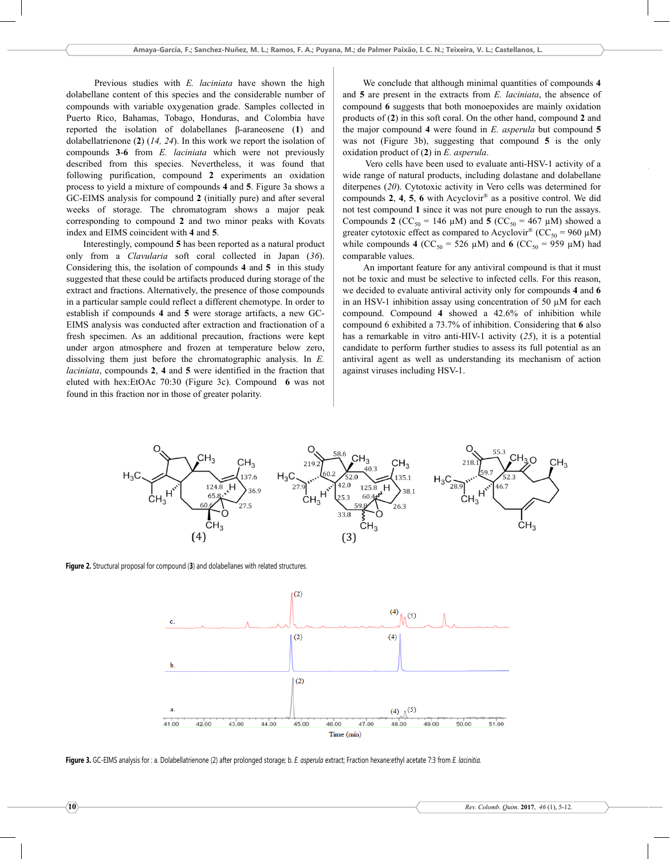Previous studies with *E. laciniata* have shown the high dolabellane content of this species and the considerable number of compounds with variable oxygenation grade. Samples collected in Puerto Rico, Bahamas, Tobago, Honduras, and Colombia have reported the isolation of dolabellanes β-araneosene (1) and dolabellatrienone  $(2)$   $(14, 24)$ . In this work we report the isolation of compounds **3-6** from *E. laciniata* which were not previously described from this species. Nevertheless, it was found that following purification, compound 2 experiments an oxidation process to yield a mixture of compounds 4 and 5. Figure 3a shows a GC-EIMS analysis for compound 2 (initially pure) and after several weeks of storage. The chromatogram shows a major peak corresponding to compound **2** and two minor peaks with Kovats index and EIMS coincident with 4 and 5.

Interestingly, compound 5 has been reported as a natural product only from a *Clavularia* soft coral collected in Japan (36). Considering this, the isolation of compounds 4 and 5 in this study suggested that these could be artifacts produced during storage of the extract and fractions. Alternatively, the presence of those compounds in a particular sample could reflect a different chemotype. In order to establish if compounds 4 and 5 were storage artifacts, a new GC-EIMS analysis was conducted after extraction and fractionation of a fresh specimen. As an additional precaution, fractions were kept under argon atmosphere and frozen at temperature below zero, dissolving them just before the chromatographic analysis. In  $E$ . *laciniata*, compounds 2, 4 and 5 were identified in the fraction that eluted with hex:EtOAc 70:30 (Figure 3c). Compound 6 was not found in this fraction nor in those of greater polarity.

We conclude that although minimal quantities of compounds **4** and  $5$  are present in the extracts from  $E$ . *laciniata*, the absence of compound **6** suggests that both monoepoxides are mainly oxidation products of (2) in this soft coral. On the other hand, compound 2 and the major compound **4** were found in *E. asperula* but compound **5** was not (Figure  $3b$ ), suggesting that compound  $5$  is the only oxidation product of (2) in *E. asperula.* 

Vero cells have been used to evaluate anti-HSV-1 activity of a wide range of natural products, including dolastane and dolabellane diterpenes (20). Cytotoxic activity in Vero cells was determined for compounds **2**, **4**, **5**, **6** with Acyclovir<sup>®</sup> as a positive control. We did not test compound 1 since it was not pure enough to run the assays. Compounds **2** ( $CC_{50} = 146 \mu M$ ) and **5** ( $CC_{50} = 467 \mu M$ ) showed a greater cytotoxic effect as compared to Acyclovir® ( $CC_{50} = 960 \mu M$ ) while compounds **4** ( $CC_{50} = 526 \mu M$ ) and **6** ( $CC_{50} = 959 \mu M$ ) had comparable values.

An important feature for any antiviral compound is that it must not be toxic and must be selective to infected cells. For this reason, we decided to evaluate antiviral activity only for compounds **4** and **6** in an HSV-1 inhibition assay using concentration of 50  $\mu$ M for each compound. Compound 4 showed a 42.6% of inhibition while compound 6 exhibited a 73.7% of inhibition. Considering that 6 also has a remarkable in vitro anti-HIV-1 activity  $(25)$ , it is a potential candidate to perform further studies to assess its full potential as an antiviral agent as well as understanding its mechanism of action against viruses including HSV-1.



Figure 2. Structural proposal for compound (3) and dolabellanes with related structures.



Figure 3. GC-EIMS analysis for : a. Dolabellatrienone (2) after prolonged storage; b. E. asperula extract; Fraction hexane:ethyl acetate 7:3 from E. lacinitia.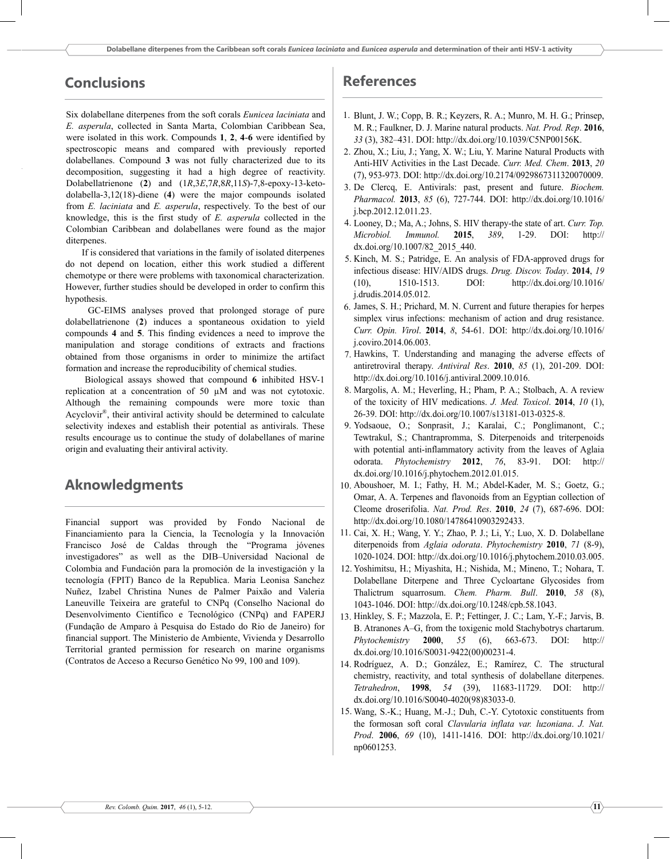## **Conclusions**

Six dolabellane diterpenes from the soft corals *Eunicea laciniata* and E. asperula, collected in Santa Marta, Colombian Caribbean Sea, were isolated in this work. Compounds 1, 2, 4-6 were identified by spectroscopic means and compared with previously reported dolabellanes. Compound 3 was not fully characterized due to its decomposition, suggesting it had a high degree of reactivity. Dolabellatrienone (2) and (1R,3E,7R,8R,11S)-7,8-epoxy-13-keto $dola bella-3,12(18)$ -diene (4) were the major compounds isolated from E. laciniata and E. asperula, respectively. To the best of our knowledge, this is the first study of  $E$ . asperula collected in the Colombian Caribbean and dolabellanes were found as the major diterpenes.

If is considered that variations in the family of isolated diterpenes do not depend on location, either this work studied a different chemotype or there were problems with taxonomical characterization. However, further studies should be developed in order to confirm this hypothesis.

GC-EIMS analyses proved that prolonged storage of pure dolabellatrienone (2) induces a spontaneous oxidation to yield compounds 4 and 5. This finding evidences a need to improve the manipulation and storage conditions of extracts and fractions obtained from those organisms in order to minimize the artifact formation and increase the reproducibility of chemical studies.

Biological assays showed that compound 6 inhibited HSV-1 replication at a concentration of 50 µM and was not cytotoxic. Although the remaining compounds were more toxic than Acyclovir<sup>®</sup>, their antiviral activity should be determined to calculate selectivity indexes and establish their potential as antivirals. These results encourage us to continue the study of dolabellanes of marine origin and evaluating their antiviral activity.

## **Aknowledgments**

Financial support was provided by Fondo Nacional de Financiamiento para la Ciencia, la Tecnología y la Innovación Francisco José de Caldas through the "Programa jóvenes investigadores" as well as the DIB-Universidad Nacional de Colombia and Fundación para la promoción de la investigación y la tecnología (FPIT) Banco de la Republica. Maria Leonisa Sanchez Nuñez, Izabel Christina Nunes de Palmer Paixão and Valeria Laneuville Teixeira are grateful to CNPq (Conselho Nacional do Desenvolvimento Científico e Tecnológico (CNPq) and FAPERJ (Fundação de Amparo à Pesquisa do Estado do Rio de Janeiro) for financial support. The Ministerio de Ambiente, Vivienda y Desarrollo Territorial granted permission for research on marine organisms (Contratos de Acceso a Recurso Genético No 99, 100 and 109).

## **References**

- 1. Blunt, J. W.; Copp, B. R.; Keyzers, R. A.; Munro, M. H. G.; Prinsep, M. R.; Faulkner, D. J. Marine natural products. Nat. Prod. Rep. 2016, 33 (3), 382-431. DOI: http://dx.doi.org/10.1039/C5NP00156K.
- 2. Zhou, X.; Liu, J.; Yang, X. W.; Liu, Y. Marine Natural Products with Anti-HIV Activities in the Last Decade. Curr. Med. Chem. 2013, 20 (7), 953-973. DOI: http://dx.doi.org/10.2174/0929867311320070009.
- 3. De Clercq, E. Antivirals: past, present and future. Biochem. Pharmacol. 2013, 85 (6), 727-744. DOI: http://dx.doi.org/10.1016/ i.bcp.2012.12.011.23.
- 4. Looney, D.; Ma, A.; Johns, S. HIV therapy-the state of art. Curr. Top. Microbiol. Immunol. 2015. 389.  $1-29.$ DOI:  $http://$ dx.doi.org/10.1007/82 2015 440.
- 5. Kinch, M. S.; Patridge, E. An analysis of FDA-approved drugs for infectious disease: HIV/AIDS drugs. Drug. Discov. Today. 2014, 19  $(10)$ , 1510-1513. DOI: http://dx.doi.org/10.1016/ j.drudis.2014.05.012.
- 6. James, S. H.; Prichard, M. N. Current and future therapies for herpes simplex virus infections: mechanism of action and drug resistance. Curr. Opin. Virol. 2014, 8, 54-61. DOI: http://dx.doi.org/10.1016/ j.coviro.2014.06.003.
- 7. Hawkins, T. Understanding and managing the adverse effects of antiretroviral therapy. Antiviral Res. 2010, 85 (1), 201-209. DOI: http://dx.doi.org/10.1016/j.antiviral.2009.10.016.
- 8. Margolis, A. M.; Heverling, H.; Pham, P. A.; Stolbach, A. A review of the toxicity of HIV medications. J. Med. Toxicol. 2014, 10 (1), 26-39. DOI: http://dx.doi.org/10.1007/s13181-013-0325-8.
- 9. Yodsaoue, O.; Sonprasit, J.; Karalai, C.; Ponglimanont, C.; Tewtrakul, S.; Chantrapromma, S. Diterpenoids and triterpenoids with potential anti-inflammatory activity from the leaves of Aglaia odorata. Phytochemistry 2012, 76, 83-91. DOI: http:// dx.doi.org/10.1016/j.phytochem.2012.01.015.
- 10. Aboushoer, M. I.; Fathy, H. M.; Abdel-Kader, M. S.; Goetz, G.; Omar, A. A. Terpenes and flavonoids from an Egyptian collection of Cleome droserifolia. Nat. Prod. Res. 2010, 24 (7), 687-696. DOI: http://dx.doi.org/10.1080/14786410903292433.
- 11. Cai, X. H.; Wang, Y. Y.; Zhao, P. J.; Li, Y.; Luo, X. D. Dolabellane diterpenoids from Aglaia odorata. Phytochemistry 2010, 71 (8-9), 1020-1024. DOI: http://dx.doi.org/10.1016/j.phytochem.2010.03.005.
- 12. Yoshimitsu, H.; Miyashita, H.; Nishida, M.; Mineno, T.; Nohara, T. Dolabellane Diterpene and Three Cycloartane Glycosides from Thalictrum squarrosum. Chem. Pharm. Bull. 2010, 58 (8), 1043-1046. DOI: http://dx.doi.org/10.1248/cpb.58.1043.
- 13. Hinkley, S. F.; Mazzola, E. P.; Fettinger, J. C.; Lam, Y.-F.; Jarvis, B. B. Atranones A-G, from the toxigenic mold Stachybotrys chartarum. Phytochemistry 2000, 55  $(6)$ , 663-673. DOI:  $http://$ dx.doi.org/10.1016/S0031-9422(00)00231-4.
- 14. Rodríguez, A. D.; González, E.; Ramírez, C. The structural chemistry, reactivity, and total synthesis of dolabellane diterpenes. Tetrahedron, 1998, 54 (39), 11683-11729. DOI: http:// dx.doi.org/10.1016/S0040-4020(98)83033-0.
- 15. Wang, S.-K.; Huang, M.-J.; Duh, C.-Y. Cytotoxic constituents from the formosan soft coral Clavularia inflata var. luzoniana. J. Nat. Prod. 2006, 69 (10), 1411-1416. DOI: http://dx.doi.org/10.1021/ np0601253.